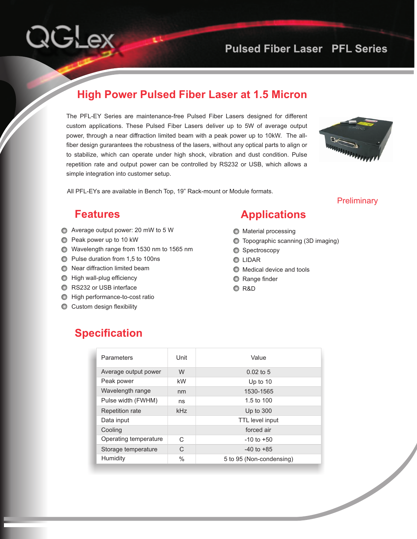## **Pulsed Fiber Laser PFL Series**

#### **High Power Pulsed Fiber Laser at 1.5 Micron**

The PFL-EY Series are maintenance-free Pulsed Fiber Lasers designed for different custom applications. These Pulsed Fiber Lasers deliver up to 5W of average output power, through a near diffraction limited beam with a peak power up to 10kW. The allfiber design gurarantees the robustness of the lasers, without any optical parts to align or to stabilize, which can operate under high shock, vibration and dust condition. Pulse repetition rate and output power can be controlled by RS232 or USB, which allows a simple integration into customer setup.



All PFL-EYs are available in Bench Top, 19" Rack-mount or Module formats.

#### **Preliminary**

#### **Features**

**QGLex** 

- Average output power: 20 mW to 5 W
- Peak power up to 10 kW
- Wavelength range from 1530 nm to 1565 nm
- Pulse duration from 1,5 to 100ns
- **◯** Near diffraction limited beam
- $\bigcirc$  High wall-plug efficiency
- **RS232 or USB interface**
- **O** High performance-to-cost ratio
- **C** Custom design flexibility

# **Applications**

- **O** Material processing
- Topographic scanning (3D imaging)
- Spectroscopy
- **O** LIDAR
- $\bigcirc$  Medical device and tools
- **C** Range finder
- R&D

### **Specification**